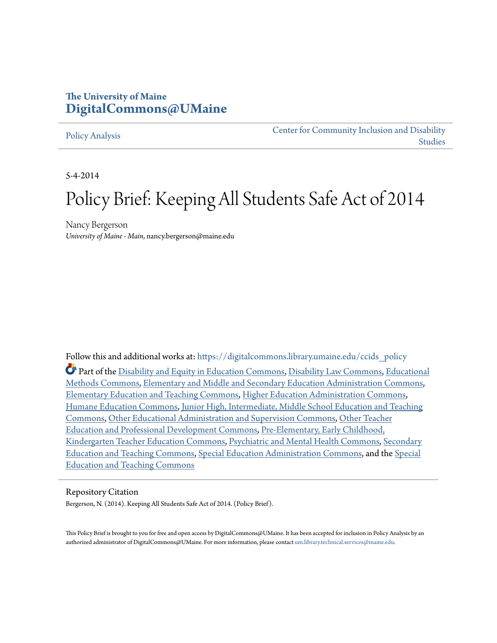# **The University of Maine [DigitalCommons@UMaine](https://digitalcommons.library.umaine.edu?utm_source=digitalcommons.library.umaine.edu%2Fccids_policy%2F3&utm_medium=PDF&utm_campaign=PDFCoverPages)**

#### [Policy Analysis](https://digitalcommons.library.umaine.edu/ccids_policy?utm_source=digitalcommons.library.umaine.edu%2Fccids_policy%2F3&utm_medium=PDF&utm_campaign=PDFCoverPages)

[Center for Community Inclusion and Disability](https://digitalcommons.library.umaine.edu/ccids?utm_source=digitalcommons.library.umaine.edu%2Fccids_policy%2F3&utm_medium=PDF&utm_campaign=PDFCoverPages) [Studies](https://digitalcommons.library.umaine.edu/ccids?utm_source=digitalcommons.library.umaine.edu%2Fccids_policy%2F3&utm_medium=PDF&utm_campaign=PDFCoverPages)

5-4-2014

# Policy Brief: Keeping All Students Safe Act of 2014

Nancy Bergerson *University of Maine - Main*, nancy.bergerson@maine.edu

Follow this and additional works at: [https://digitalcommons.library.umaine.edu/ccids\\_policy](https://digitalcommons.library.umaine.edu/ccids_policy?utm_source=digitalcommons.library.umaine.edu%2Fccids_policy%2F3&utm_medium=PDF&utm_campaign=PDFCoverPages) Part of the [Disability and Equity in Education Commons,](http://network.bepress.com/hgg/discipline/1040?utm_source=digitalcommons.library.umaine.edu%2Fccids_policy%2F3&utm_medium=PDF&utm_campaign=PDFCoverPages) [Disability Law Commons,](http://network.bepress.com/hgg/discipline/1074?utm_source=digitalcommons.library.umaine.edu%2Fccids_policy%2F3&utm_medium=PDF&utm_campaign=PDFCoverPages) [Educational](http://network.bepress.com/hgg/discipline/1227?utm_source=digitalcommons.library.umaine.edu%2Fccids_policy%2F3&utm_medium=PDF&utm_campaign=PDFCoverPages) [Methods Commons,](http://network.bepress.com/hgg/discipline/1227?utm_source=digitalcommons.library.umaine.edu%2Fccids_policy%2F3&utm_medium=PDF&utm_campaign=PDFCoverPages) [Elementary and Middle and Secondary Education Administration Commons](http://network.bepress.com/hgg/discipline/790?utm_source=digitalcommons.library.umaine.edu%2Fccids_policy%2F3&utm_medium=PDF&utm_campaign=PDFCoverPages), [Elementary Education and Teaching Commons](http://network.bepress.com/hgg/discipline/805?utm_source=digitalcommons.library.umaine.edu%2Fccids_policy%2F3&utm_medium=PDF&utm_campaign=PDFCoverPages), [Higher Education Administration Commons](http://network.bepress.com/hgg/discipline/791?utm_source=digitalcommons.library.umaine.edu%2Fccids_policy%2F3&utm_medium=PDF&utm_campaign=PDFCoverPages), [Humane Education Commons](http://network.bepress.com/hgg/discipline/1295?utm_source=digitalcommons.library.umaine.edu%2Fccids_policy%2F3&utm_medium=PDF&utm_campaign=PDFCoverPages), [Junior High, Intermediate, Middle School Education and Teaching](http://network.bepress.com/hgg/discipline/807?utm_source=digitalcommons.library.umaine.edu%2Fccids_policy%2F3&utm_medium=PDF&utm_campaign=PDFCoverPages) [Commons,](http://network.bepress.com/hgg/discipline/807?utm_source=digitalcommons.library.umaine.edu%2Fccids_policy%2F3&utm_medium=PDF&utm_campaign=PDFCoverPages) [Other Educational Administration and Supervision Commons](http://network.bepress.com/hgg/discipline/794?utm_source=digitalcommons.library.umaine.edu%2Fccids_policy%2F3&utm_medium=PDF&utm_campaign=PDFCoverPages), [Other Teacher](http://network.bepress.com/hgg/discipline/810?utm_source=digitalcommons.library.umaine.edu%2Fccids_policy%2F3&utm_medium=PDF&utm_campaign=PDFCoverPages) [Education and Professional Development Commons](http://network.bepress.com/hgg/discipline/810?utm_source=digitalcommons.library.umaine.edu%2Fccids_policy%2F3&utm_medium=PDF&utm_campaign=PDFCoverPages), [Pre-Elementary, Early Childhood,](http://network.bepress.com/hgg/discipline/808?utm_source=digitalcommons.library.umaine.edu%2Fccids_policy%2F3&utm_medium=PDF&utm_campaign=PDFCoverPages) [Kindergarten Teacher Education Commons](http://network.bepress.com/hgg/discipline/808?utm_source=digitalcommons.library.umaine.edu%2Fccids_policy%2F3&utm_medium=PDF&utm_campaign=PDFCoverPages), [Psychiatric and Mental Health Commons,](http://network.bepress.com/hgg/discipline/711?utm_source=digitalcommons.library.umaine.edu%2Fccids_policy%2F3&utm_medium=PDF&utm_campaign=PDFCoverPages) [Secondary](http://network.bepress.com/hgg/discipline/809?utm_source=digitalcommons.library.umaine.edu%2Fccids_policy%2F3&utm_medium=PDF&utm_campaign=PDFCoverPages) [Education and Teaching Commons,](http://network.bepress.com/hgg/discipline/809?utm_source=digitalcommons.library.umaine.edu%2Fccids_policy%2F3&utm_medium=PDF&utm_campaign=PDFCoverPages) [Special Education Administration Commons,](http://network.bepress.com/hgg/discipline/788?utm_source=digitalcommons.library.umaine.edu%2Fccids_policy%2F3&utm_medium=PDF&utm_campaign=PDFCoverPages) and the [Special](http://network.bepress.com/hgg/discipline/801?utm_source=digitalcommons.library.umaine.edu%2Fccids_policy%2F3&utm_medium=PDF&utm_campaign=PDFCoverPages) [Education and Teaching Commons](http://network.bepress.com/hgg/discipline/801?utm_source=digitalcommons.library.umaine.edu%2Fccids_policy%2F3&utm_medium=PDF&utm_campaign=PDFCoverPages)

#### Repository Citation

Bergerson, N. (2014). Keeping All Students Safe Act of 2014. (Policy Brief).

This Policy Brief is brought to you for free and open access by DigitalCommons@UMaine. It has been accepted for inclusion in Policy Analysis by an authorized administrator of DigitalCommons@UMaine. For more information, please contact [um.library.technical.services@maine.edu.](mailto:um.library.technical.services@maine.edu)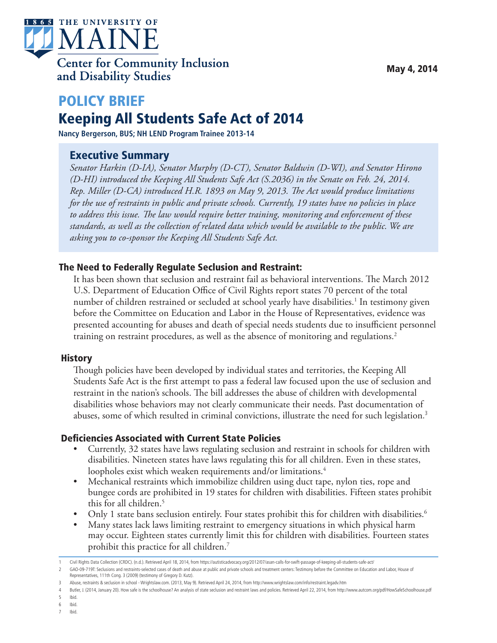

# POLICY BRIEF Keeping All Students Safe Act of 2014

**Nancy Bergerson, BUS; NH LEND Program Trainee 2013-14**

## Executive Summary

*Senator Harkin (D-IA), Senator Murphy (D-CT), Senator Baldwin (D-WI), and Senator Hirono (D-HI) introduced the Keeping All Students Safe Act (S.2036) in the Senate on Feb. 24, 2014. Rep. Miller (D-CA) introduced H.R. 1893 on May 9, 2013. The Act would produce limitations for the use of restraints in public and private schools. Currently, 19 states have no policies in place to address this issue. The law would require better training, monitoring and enforcement of these standards, as well as the collection of related data which would be available to the public. We are asking you to co-sponsor the Keeping All Students Safe Act.*

#### The Need to Federally Regulate Seclusion and Restraint:

It has been shown that seclusion and restraint fail as behavioral interventions. The March 2012 U.S. Department of Education Office of Civil Rights report states 70 percent of the total number of children restrained or secluded at school yearly have disabilities.<sup>1</sup> In testimony given before the Committee on Education and Labor in the House of Representatives, evidence was presented accounting for abuses and death of special needs students due to insufficient personnel training on restraint procedures, as well as the absence of monitoring and regulations.2

#### **History**

Though policies have been developed by individual states and territories, the Keeping All Students Safe Act is the first attempt to pass a federal law focused upon the use of seclusion and restraint in the nation's schools. The bill addresses the abuse of children with developmental disabilities whose behaviors may not clearly communicate their needs. Past documentation of abuses, some of which resulted in criminal convictions, illustrate the need for such legislation. 3

#### Deficiencies Associated with Current State Policies

- Currently, 32 states have laws regulating seclusion and restraint in schools for children with disabilities. Nineteen states have laws regulating this for all children. Even in these states, loopholes exist which weaken requirements and/or limitations.<sup>4</sup>
- Mechanical restraints which immobilize children using duct tape, nylon ties, rope and bungee cords are prohibited in 19 states for children with disabilities. Fifteen states prohibit this for all children.5
- Only 1 state bans seclusion entirely. Four states prohibit this for children with disabilities.<sup>6</sup>
- Many states lack laws limiting restraint to emergency situations in which physical harm may occur. Eighteen states currently limit this for children with disabilities. Fourteen states prohibit this practice for all children.7

6 Ibid.

<sup>1</sup> Civil Rights Data Collection (CRDC). (n.d.). Retrieved April 18, 2014, from https://autisticadvocacy.org/2012/07/asan-calls-for-swift-passage-of-keeping-all-students-safe-act/

<sup>2</sup> GAO-09-719T: Seclusions and restraints-selected cases of death and abuse at public and private schools and treatment centers: Testimony before the Committee on Education and Labor, House of Representatives, 111th Cong. 3 (2009) (testimony of Gregory D. Kutz).

<sup>3</sup> Abuse, restraints & seclusion in school - Wrightslaw.com. (2013, May 9). Retrieved April 24, 2014, from http://www.wrightslaw.com/info/restraint.legadv.htm

<sup>4</sup> Butler, J. (2014, January 20). How safe is the schoolhouse? An analysis of state seclusion and restraint laws and policies. Retrieved April 22, 2014, from http://www.autcom.org/pdf/HowSafeSchoolhouse.pdf

<sup>5</sup> Ibid.